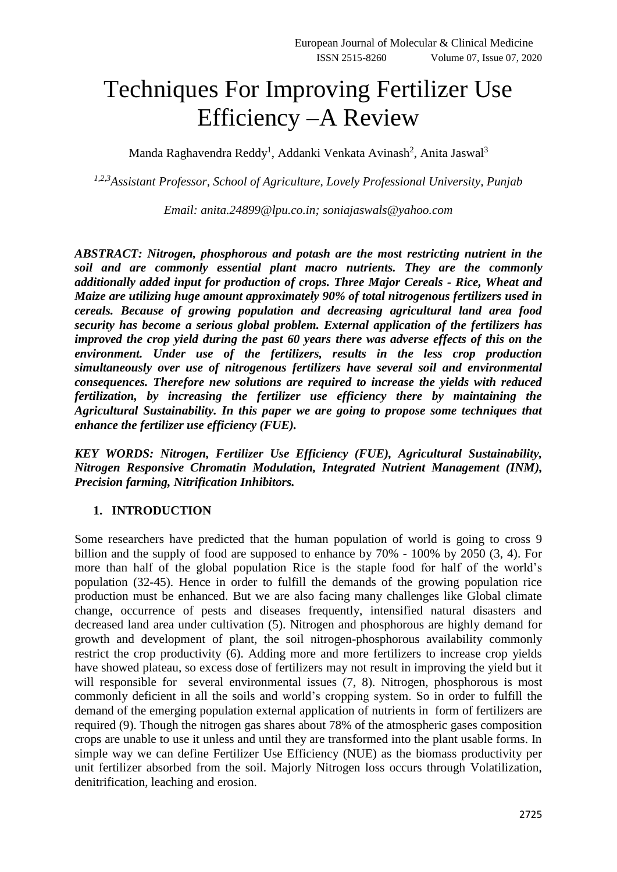# Techniques For Improving Fertilizer Use Efficiency –A Review

Manda Raghavendra Reddy<sup>1</sup>, Addanki Venkata Avinash<sup>2</sup>, Anita Jaswal<sup>3</sup>

*1,2,3Assistant Professor, School of Agriculture, Lovely Professional University, Punjab*

*Email: anita.24899@lpu.co.in; soniajaswals@yahoo.com*

*ABSTRACT: Nitrogen, phosphorous and potash are the most restricting nutrient in the soil and are commonly essential plant macro nutrients. They are the commonly additionally added input for production of crops. Three Major Cereals - Rice, Wheat and Maize are utilizing huge amount approximately 90% of total nitrogenous fertilizers used in cereals. Because of growing population and decreasing agricultural land area food security has become a serious global problem. External application of the fertilizers has improved the crop yield during the past 60 years there was adverse effects of this on the environment. Under use of the fertilizers, results in the less crop production simultaneously over use of nitrogenous fertilizers have several soil and environmental consequences. Therefore new solutions are required to increase the yields with reduced fertilization, by increasing the fertilizer use efficiency there by maintaining the Agricultural Sustainability. In this paper we are going to propose some techniques that enhance the fertilizer use efficiency (FUE).*

*KEY WORDS: Nitrogen, Fertilizer Use Efficiency (FUE), Agricultural Sustainability, Nitrogen Responsive Chromatin Modulation, Integrated Nutrient Management (INM), Precision farming, Nitrification Inhibitors.*

### **1. INTRODUCTION**

Some researchers have predicted that the human population of world is going to cross 9 billion and the supply of food are supposed to enhance by 70% - 100% by 2050 (3, 4). For more than half of the global population Rice is the staple food for half of the world's population (32-45). Hence in order to fulfill the demands of the growing population rice production must be enhanced. But we are also facing many challenges like Global climate change, occurrence of pests and diseases frequently, intensified natural disasters and decreased land area under cultivation (5). Nitrogen and phosphorous are highly demand for growth and development of plant, the soil nitrogen-phosphorous availability commonly restrict the crop productivity (6). Adding more and more fertilizers to increase crop yields have showed plateau, so excess dose of fertilizers may not result in improving the yield but it will responsible for several environmental issues  $(7, 8)$ . Nitrogen, phosphorous is most commonly deficient in all the soils and world's cropping system. So in order to fulfill the demand of the emerging population external application of nutrients in form of fertilizers are required (9). Though the nitrogen gas shares about 78% of the atmospheric gases composition crops are unable to use it unless and until they are transformed into the plant usable forms. In simple way we can define Fertilizer Use Efficiency (NUE) as the biomass productivity per unit fertilizer absorbed from the soil. Majorly Nitrogen loss occurs through Volatilization, denitrification, leaching and erosion.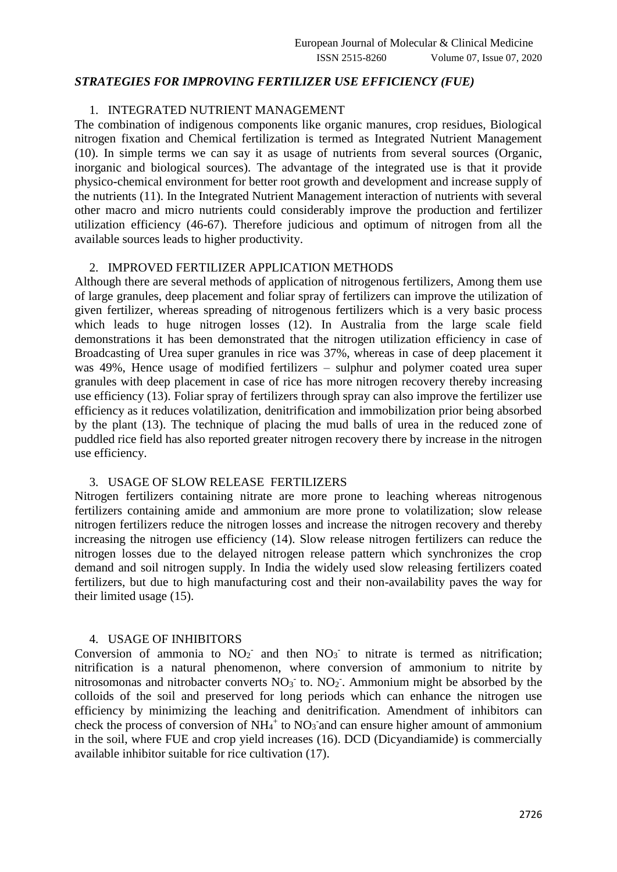### *STRATEGIES FOR IMPROVING FERTILIZER USE EFFICIENCY (FUE)*

# 1. INTEGRATED NUTRIENT MANAGEMENT

The combination of indigenous components like organic manures, crop residues, Biological nitrogen fixation and Chemical fertilization is termed as Integrated Nutrient Management (10). In simple terms we can say it as usage of nutrients from several sources (Organic, inorganic and biological sources). The advantage of the integrated use is that it provide physico-chemical environment for better root growth and development and increase supply of the nutrients (11). In the Integrated Nutrient Management interaction of nutrients with several other macro and micro nutrients could considerably improve the production and fertilizer utilization efficiency (46-67). Therefore judicious and optimum of nitrogen from all the available sources leads to higher productivity.

### 2. IMPROVED FERTILIZER APPLICATION METHODS

Although there are several methods of application of nitrogenous fertilizers, Among them use of large granules, deep placement and foliar spray of fertilizers can improve the utilization of given fertilizer, whereas spreading of nitrogenous fertilizers which is a very basic process which leads to huge nitrogen losses (12). In Australia from the large scale field demonstrations it has been demonstrated that the nitrogen utilization efficiency in case of Broadcasting of Urea super granules in rice was 37%, whereas in case of deep placement it was 49%, Hence usage of modified fertilizers – sulphur and polymer coated urea super granules with deep placement in case of rice has more nitrogen recovery thereby increasing use efficiency (13). Foliar spray of fertilizers through spray can also improve the fertilizer use efficiency as it reduces volatilization, denitrification and immobilization prior being absorbed by the plant (13). The technique of placing the mud balls of urea in the reduced zone of puddled rice field has also reported greater nitrogen recovery there by increase in the nitrogen use efficiency.

### 3. USAGE OF SLOW RELEASE FERTILIZERS

Nitrogen fertilizers containing nitrate are more prone to leaching whereas nitrogenous fertilizers containing amide and ammonium are more prone to volatilization; slow release nitrogen fertilizers reduce the nitrogen losses and increase the nitrogen recovery and thereby increasing the nitrogen use efficiency (14). Slow release nitrogen fertilizers can reduce the nitrogen losses due to the delayed nitrogen release pattern which synchronizes the crop demand and soil nitrogen supply. In India the widely used slow releasing fertilizers coated fertilizers, but due to high manufacturing cost and their non-availability paves the way for their limited usage (15).

### 4. USAGE OF INHIBITORS

Conversion of ammonia to  $NO<sub>2</sub>$  and then  $NO<sub>3</sub>$  to nitrate is termed as nitrification; nitrification is a natural phenomenon, where conversion of ammonium to nitrite by nitrosomonas and nitrobacter converts  $NO_3$ <sup>-</sup> to.  $NO_2$ <sup>-</sup>. Ammonium might be absorbed by the colloids of the soil and preserved for long periods which can enhance the nitrogen use efficiency by minimizing the leaching and denitrification. Amendment of inhibitors can check the process of conversion of  $NH_4$ <sup>+</sup> to  $NO_3$  and can ensure higher amount of ammonium in the soil, where FUE and crop yield increases (16). DCD (Dicyandiamide) is commercially available inhibitor suitable for rice cultivation (17).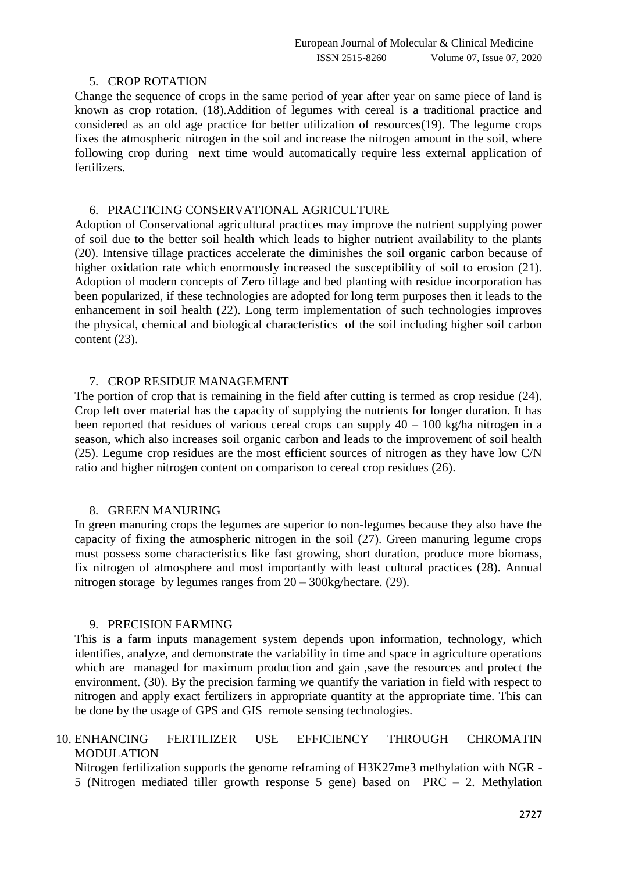#### 5. CROP ROTATION

Change the sequence of crops in the same period of year after year on same piece of land is known as crop rotation. (18).Addition of legumes with cereal is a traditional practice and considered as an old age practice for better utilization of resources(19). The legume crops fixes the atmospheric nitrogen in the soil and increase the nitrogen amount in the soil, where following crop during next time would automatically require less external application of fertilizers.

### 6. PRACTICING CONSERVATIONAL AGRICULTURE

Adoption of Conservational agricultural practices may improve the nutrient supplying power of soil due to the better soil health which leads to higher nutrient availability to the plants (20). Intensive tillage practices accelerate the diminishes the soil organic carbon because of higher oxidation rate which enormously increased the susceptibility of soil to erosion (21). Adoption of modern concepts of Zero tillage and bed planting with residue incorporation has been popularized, if these technologies are adopted for long term purposes then it leads to the enhancement in soil health (22). Long term implementation of such technologies improves the physical, chemical and biological characteristics of the soil including higher soil carbon content (23).

# 7. CROP RESIDUE MANAGEMENT

The portion of crop that is remaining in the field after cutting is termed as crop residue (24). Crop left over material has the capacity of supplying the nutrients for longer duration. It has been reported that residues of various cereal crops can supply  $40 - 100$  kg/ha nitrogen in a season, which also increases soil organic carbon and leads to the improvement of soil health (25). Legume crop residues are the most efficient sources of nitrogen as they have low C/N ratio and higher nitrogen content on comparison to cereal crop residues (26).

### 8. GREEN MANURING

In green manuring crops the legumes are superior to non-legumes because they also have the capacity of fixing the atmospheric nitrogen in the soil (27). Green manuring legume crops must possess some characteristics like fast growing, short duration, produce more biomass, fix nitrogen of atmosphere and most importantly with least cultural practices (28). Annual nitrogen storage by legumes ranges from 20 – 300kg/hectare. (29).

### 9. PRECISION FARMING

This is a farm inputs management system depends upon information, technology, which identifies, analyze, and demonstrate the variability in time and space in agriculture operations which are managed for maximum production and gain , save the resources and protect the environment. (30). By the precision farming we quantify the variation in field with respect to nitrogen and apply exact fertilizers in appropriate quantity at the appropriate time. This can be done by the usage of GPS and GIS remote sensing technologies.

# 10. ENHANCING FERTILIZER USE EFFICIENCY THROUGH CHROMATIN MODULATION

Nitrogen fertilization supports the genome reframing of H3K27me3 methylation with NGR - 5 (Nitrogen mediated tiller growth response 5 gene) based on PRC – 2. Methylation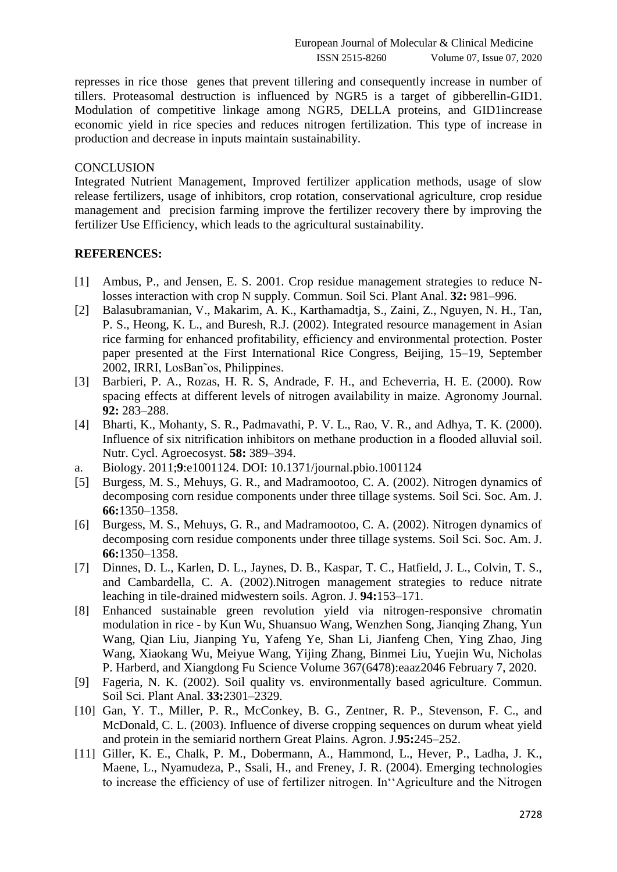represses in rice those genes that prevent tillering and consequently increase in number of tillers. Proteasomal destruction is influenced by NGR5 is a target of gibberellin-GID1. Modulation of competitive linkage among NGR5, DELLA proteins, and GID1increase economic yield in rice species and reduces nitrogen fertilization. This type of increase in production and decrease in inputs maintain sustainability.

#### **CONCLUSION**

Integrated Nutrient Management, Improved fertilizer application methods, usage of slow release fertilizers, usage of inhibitors, crop rotation, conservational agriculture, crop residue management and precision farming improve the fertilizer recovery there by improving the fertilizer Use Efficiency, which leads to the agricultural sustainability.

#### **REFERENCES:**

- [1] Ambus, P., and Jensen, E. S. 2001. Crop residue management strategies to reduce Nlosses interaction with crop N supply. Commun. Soil Sci. Plant Anal. **32:** 981–996.
- [2] Balasubramanian, V., Makarim, A. K., Karthamadtja, S., Zaini, Z., Nguyen, N. H., Tan, P. S., Heong, K. L., and Buresh, R.J. (2002). Integrated resource management in Asian rice farming for enhanced profitability, efficiency and environmental protection. Poster paper presented at the First International Rice Congress, Beijing, 15–19, September 2002, IRRI, LosBan˜os, Philippines.
- [3] Barbieri, P. A., Rozas, H. R. S, Andrade, F. H., and Echeverria, H. E. (2000). Row spacing effects at different levels of nitrogen availability in maize. Agronomy Journal. **92:** 283–288.
- [4] Bharti, K., Mohanty, S. R., Padmavathi, P. V. L., Rao, V. R., and Adhya, T. K. (2000). Influence of six nitrification inhibitors on methane production in a flooded alluvial soil. Nutr. Cycl. Agroecosyst. **58:** 389–394.
- a. Biology. 2011;**9**:e1001124. DOI: 10.1371/journal.pbio.1001124
- [5] Burgess, M. S., Mehuys, G. R., and Madramootoo, C. A. (2002). Nitrogen dynamics of decomposing corn residue components under three tillage systems. Soil Sci. Soc. Am. J. **66:**1350–1358.
- [6] Burgess, M. S., Mehuys, G. R., and Madramootoo, C. A. (2002). Nitrogen dynamics of decomposing corn residue components under three tillage systems. Soil Sci. Soc. Am. J. **66:**1350–1358.
- [7] Dinnes, D. L., Karlen, D. L., Jaynes, D. B., Kaspar, T. C., Hatfield, J. L., Colvin, T. S., and Cambardella, C. A. (2002).Nitrogen management strategies to reduce nitrate leaching in tile-drained midwestern soils. Agron. J. **94:**153–171.
- [8] Enhanced sustainable green revolution yield via nitrogen-responsive chromatin modulation in rice - by Kun Wu, Shuansuo Wang, Wenzhen Song, Jianqing Zhang, Yun Wang, Qian Liu, Jianping Yu, Yafeng Ye, Shan Li, Jianfeng Chen, Ying Zhao, Jing Wang, Xiaokang Wu, Meiyue Wang, Yijing Zhang, Binmei Liu, Yuejin Wu, Nicholas P. Harberd, and Xiangdong Fu Science Volume 367(6478):eaaz2046 February 7, 2020.
- [9] Fageria, N. K. (2002). Soil quality vs. environmentally based agriculture. Commun. Soil Sci. Plant Anal. **33:**2301–2329.
- [10] Gan, Y. T., Miller, P. R., McConkey, B. G., Zentner, R. P., Stevenson, F. C., and McDonald, C. L. (2003). Influence of diverse cropping sequences on durum wheat yield and protein in the semiarid northern Great Plains. Agron. J.**95:**245–252.
- [11] Giller, K. E., Chalk, P. M., Dobermann, A., Hammond, L., Hever, P., Ladha, J. K., Maene, L., Nyamudeza, P., Ssali, H., and Freney, J. R. (2004). Emerging technologies to increase the efficiency of use of fertilizer nitrogen. In''Agriculture and the Nitrogen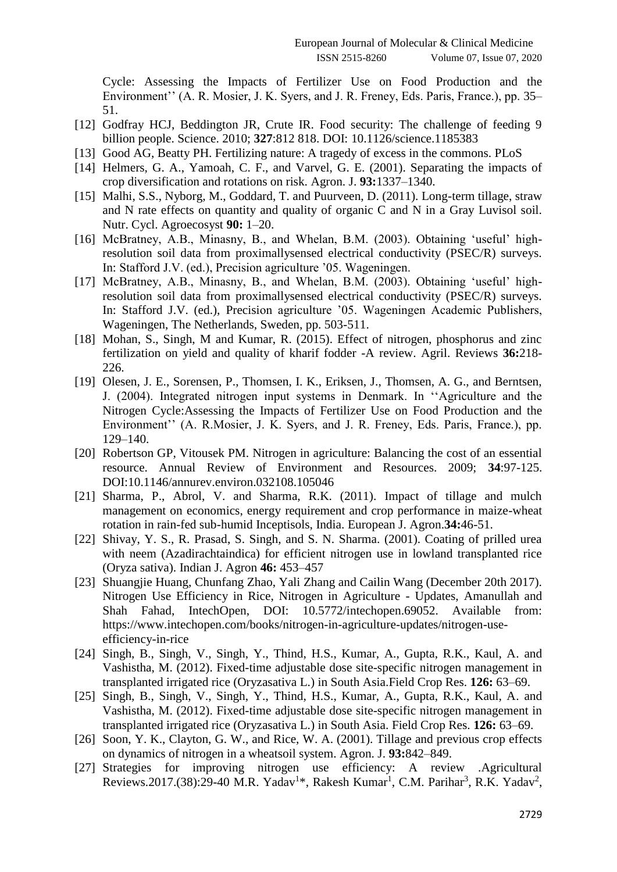Cycle: Assessing the Impacts of Fertilizer Use on Food Production and the Environment'' (A. R. Mosier, J. K. Syers, and J. R. Freney, Eds. Paris, France.), pp. 35– 51.

- [12] Godfray HCJ, Beddington JR, Crute IR. Food security: The challenge of feeding 9 billion people. Science. 2010; **327**:812 818. DOI: 10.1126/science.1185383
- [13] Good AG, Beatty PH. Fertilizing nature: A tragedy of excess in the commons. PLoS
- [14] Helmers, G. A., Yamoah, C. F., and Varvel, G. E. (2001). Separating the impacts of crop diversification and rotations on risk. Agron. J. **93:**1337–1340.
- [15] Malhi, S.S., Nyborg, M., Goddard, T. and Puurveen, D. (2011). Long-term tillage, straw and N rate effects on quantity and quality of organic C and N in a Gray Luvisol soil. Nutr. Cycl. Agroecosyst **90:** 1–20.
- [16] McBratney, A.B., Minasny, B., and Whelan, B.M. (2003). Obtaining 'useful' highresolution soil data from proximallysensed electrical conductivity (PSEC/R) surveys. In: Stafford J.V. (ed.), Precision agriculture '05. Wageningen.
- [17] McBratney, A.B., Minasny, B., and Whelan, B.M. (2003). Obtaining 'useful' highresolution soil data from proximallysensed electrical conductivity (PSEC/R) surveys. In: Stafford J.V. (ed.), Precision agriculture '05. Wageningen Academic Publishers, Wageningen, The Netherlands, Sweden, pp. 503-511.
- [18] Mohan, S., Singh, M and Kumar, R. (2015). Effect of nitrogen, phosphorus and zinc fertilization on yield and quality of kharif fodder -A review. Agril. Reviews **36:**218- 226.
- [19] Olesen, J. E., Sorensen, P., Thomsen, I. K., Eriksen, J., Thomsen, A. G., and Berntsen, J. (2004). Integrated nitrogen input systems in Denmark. In ''Agriculture and the Nitrogen Cycle:Assessing the Impacts of Fertilizer Use on Food Production and the Environment'' (A. R.Mosier, J. K. Syers, and J. R. Freney, Eds. Paris, France.), pp. 129–140.
- [20] Robertson GP, Vitousek PM. Nitrogen in agriculture: Balancing the cost of an essential resource. Annual Review of Environment and Resources. 2009; **34**:97-125. DOI:10.1146/annurev.environ.032108.105046
- [21] Sharma, P., Abrol, V. and Sharma, R.K. (2011). Impact of tillage and mulch management on economics, energy requirement and crop performance in maize-wheat rotation in rain-fed sub-humid Inceptisols, India. European J. Agron.**34:**46-51.
- [22] Shivay, Y. S., R. Prasad, S. Singh, and S. N. Sharma. (2001). Coating of prilled urea with neem (Azadirachtaindica) for efficient nitrogen use in lowland transplanted rice (Oryza sativa). Indian J. Agron **46:** 453–457
- [23] Shuangjie Huang, Chunfang Zhao, Yali Zhang and Cailin Wang (December 20th 2017). Nitrogen Use Efficiency in Rice, Nitrogen in Agriculture - Updates, Amanullah and Shah Fahad, IntechOpen, DOI: 10.5772/intechopen.69052. Available from: [https://www.intechopen.com/books/nitrogen-in-agriculture-updates/nitrogen-use](https://www.intechopen.com/books/nitrogen-in-agriculture-updates/nitrogen-use-efficiency-in-rice)[efficiency-in-rice](https://www.intechopen.com/books/nitrogen-in-agriculture-updates/nitrogen-use-efficiency-in-rice)
- [24] Singh, B., Singh, V., Singh, Y., Thind, H.S., Kumar, A., Gupta, R.K., Kaul, A. and Vashistha, M. (2012). Fixed-time adjustable dose site-specific nitrogen management in transplanted irrigated rice (Oryzasativa L.) in South Asia.Field Crop Res. **126:** 63–69.
- [25] Singh, B., Singh, V., Singh, Y., Thind, H.S., Kumar, A., Gupta, R.K., Kaul, A. and Vashistha, M. (2012). Fixed-time adjustable dose site-specific nitrogen management in transplanted irrigated rice (Oryzasativa L.) in South Asia. Field Crop Res. **126:** 63–69.
- [26] Soon, Y. K., Clayton, G. W., and Rice, W. A. (2001). Tillage and previous crop effects on dynamics of nitrogen in a wheatsoil system. Agron. J. **93:**842–849.
- [27] Strategies for improving nitrogen use efficiency: A review .Agricultural Reviews.2017.(38):29-40 M.R. Yadav<sup>1\*</sup>, Rakesh Kumar<sup>1</sup>, C.M. Parihar<sup>3</sup>, R.K. Yadav<sup>2</sup>,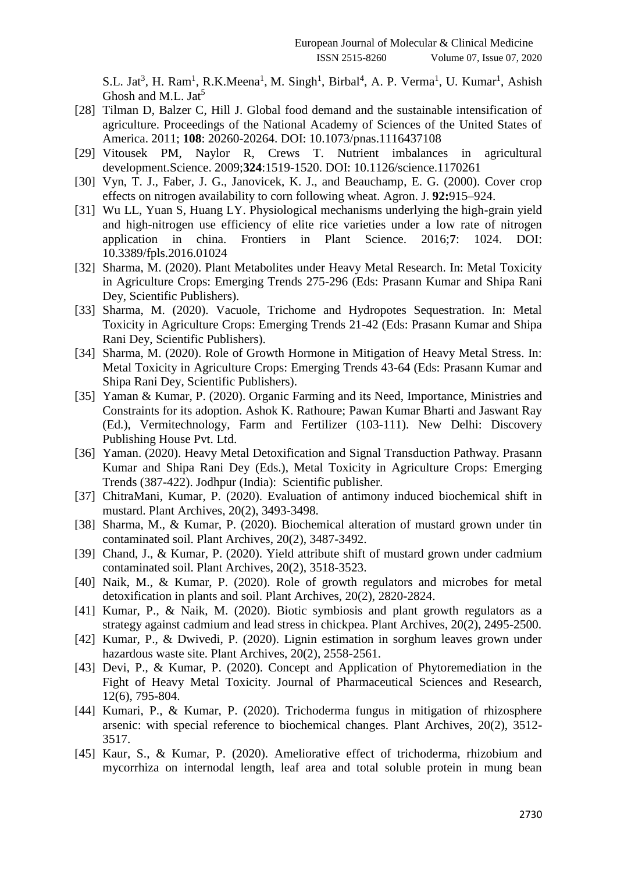S.L. Jat<sup>3</sup>, H. Ram<sup>1</sup>, R.K.Meena<sup>1</sup>, M. Singh<sup>1</sup>, Birbal<sup>4</sup>, A. P. Verma<sup>1</sup>, U. Kumar<sup>1</sup>, Ashish Ghosh and M.L. Jat<sup>5</sup>

- [28] Tilman D, Balzer C, Hill J, Global food demand and the sustainable intensification of agriculture. Proceedings of the National Academy of Sciences of the United States of America. 2011; **108**: 20260-20264. DOI: 10.1073/pnas.1116437108
- [29] Vitousek PM, Naylor R, Crews T. Nutrient imbalances in agricultural development.Science. 2009;**324**:1519-1520. DOI: 10.1126/science.1170261
- [30] Vyn, T. J., Faber, J. G., Janovicek, K. J., and Beauchamp, E. G. (2000). Cover crop effects on nitrogen availability to corn following wheat. Agron. J. **92:**915–924.
- [31] Wu LL, Yuan S, Huang LY. Physiological mechanisms underlying the high-grain yield and high-nitrogen use efficiency of elite rice varieties under a low rate of nitrogen application in china. Frontiers in Plant Science. 2016;**7**: 1024. DOI: 10.3389/fpls.2016.01024
- [32] Sharma, M. (2020). Plant Metabolites under Heavy Metal Research. In: Metal Toxicity in Agriculture Crops: Emerging Trends 275-296 (Eds: Prasann Kumar and Shipa Rani Dey, Scientific Publishers).
- [33] Sharma, M. (2020). Vacuole, Trichome and Hydropotes Sequestration. In: Metal Toxicity in Agriculture Crops: Emerging Trends 21-42 (Eds: Prasann Kumar and Shipa Rani Dey, Scientific Publishers).
- [34] Sharma, M. (2020). Role of Growth Hormone in Mitigation of Heavy Metal Stress. In: Metal Toxicity in Agriculture Crops: Emerging Trends 43-64 (Eds: Prasann Kumar and Shipa Rani Dey, Scientific Publishers).
- [35] Yaman & Kumar, P. (2020). Organic Farming and its Need, Importance, Ministries and Constraints for its adoption. Ashok K. Rathoure; Pawan Kumar Bharti and Jaswant Ray (Ed.), Vermitechnology, Farm and Fertilizer (103-111). New Delhi: Discovery Publishing House Pvt. Ltd.
- [36] Yaman. (2020). Heavy Metal Detoxification and Signal Transduction Pathway. Prasann Kumar and Shipa Rani Dey (Eds.), Metal Toxicity in Agriculture Crops: Emerging Trends (387-422). Jodhpur (India): Scientific publisher.
- [37] ChitraMani, Kumar, P. (2020). Evaluation of antimony induced biochemical shift in mustard. Plant Archives, 20(2), 3493-3498.
- [38] Sharma, M., & Kumar, P. (2020). Biochemical alteration of mustard grown under tin contaminated soil. Plant Archives, 20(2), 3487-3492.
- [39] Chand, J., & Kumar, P. (2020). Yield attribute shift of mustard grown under cadmium contaminated soil. Plant Archives, 20(2), 3518-3523.
- [40] Naik, M., & Kumar, P. (2020). Role of growth regulators and microbes for metal detoxification in plants and soil. Plant Archives, 20(2), 2820-2824.
- [41] Kumar, P., & Naik, M. (2020). Biotic symbiosis and plant growth regulators as a strategy against cadmium and lead stress in chickpea. Plant Archives, 20(2), 2495-2500.
- [42] Kumar, P., & Dwivedi, P. (2020). Lignin estimation in sorghum leaves grown under hazardous waste site. Plant Archives, 20(2), 2558-2561.
- [43] Devi, P., & Kumar, P. (2020). Concept and Application of Phytoremediation in the Fight of Heavy Metal Toxicity. Journal of Pharmaceutical Sciences and Research, 12(6), 795-804.
- [44] Kumari, P., & Kumar, P. (2020). Trichoderma fungus in mitigation of rhizosphere arsenic: with special reference to biochemical changes. Plant Archives, 20(2), 3512- 3517.
- [45] Kaur, S., & Kumar, P. (2020). Ameliorative effect of trichoderma, rhizobium and mycorrhiza on internodal length, leaf area and total soluble protein in mung bean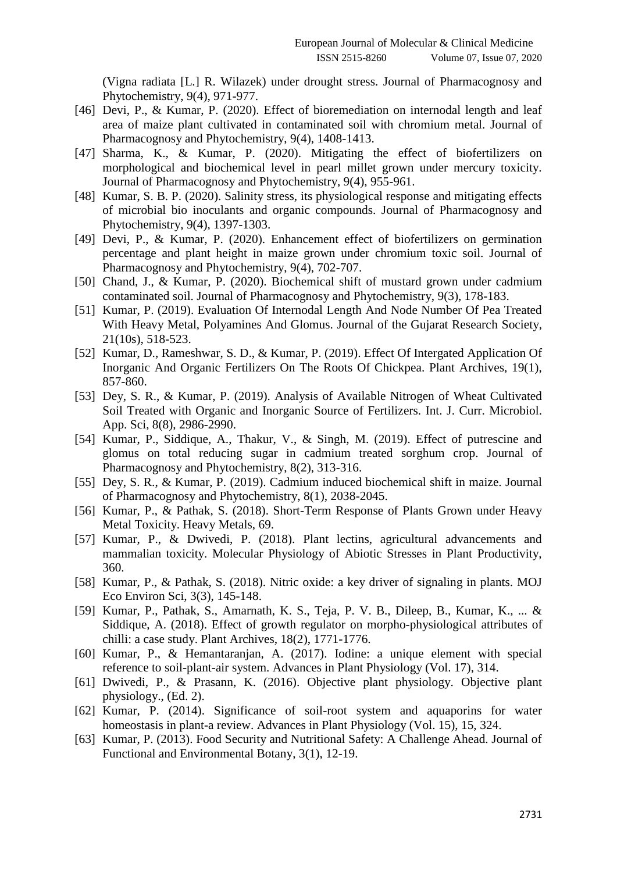(Vigna radiata [L.] R. Wilazek) under drought stress. Journal of Pharmacognosy and Phytochemistry, 9(4), 971-977.

- [46] Devi, P., & Kumar, P. (2020). Effect of bioremediation on internodal length and leaf area of maize plant cultivated in contaminated soil with chromium metal. Journal of Pharmacognosy and Phytochemistry, 9(4), 1408-1413.
- [47] Sharma, K., & Kumar, P. (2020). Mitigating the effect of biofertilizers on morphological and biochemical level in pearl millet grown under mercury toxicity. Journal of Pharmacognosy and Phytochemistry, 9(4), 955-961.
- [48] Kumar, S. B. P. (2020). Salinity stress, its physiological response and mitigating effects of microbial bio inoculants and organic compounds. Journal of Pharmacognosy and Phytochemistry, 9(4), 1397-1303.
- [49] Devi, P., & Kumar, P. (2020). Enhancement effect of biofertilizers on germination percentage and plant height in maize grown under chromium toxic soil. Journal of Pharmacognosy and Phytochemistry, 9(4), 702-707.
- [50] Chand, J., & Kumar, P. (2020). Biochemical shift of mustard grown under cadmium contaminated soil. Journal of Pharmacognosy and Phytochemistry, 9(3), 178-183.
- [51] Kumar, P. (2019). Evaluation Of Internodal Length And Node Number Of Pea Treated With Heavy Metal, Polyamines And Glomus. Journal of the Gujarat Research Society, 21(10s), 518-523.
- [52] Kumar, D., Rameshwar, S. D., & Kumar, P. (2019). Effect Of Intergated Application Of Inorganic And Organic Fertilizers On The Roots Of Chickpea. Plant Archives, 19(1), 857-860.
- [53] Dey, S. R., & Kumar, P. (2019). Analysis of Available Nitrogen of Wheat Cultivated Soil Treated with Organic and Inorganic Source of Fertilizers. Int. J. Curr. Microbiol. App. Sci, 8(8), 2986-2990.
- [54] Kumar, P., Siddique, A., Thakur, V., & Singh, M. (2019). Effect of putrescine and glomus on total reducing sugar in cadmium treated sorghum crop. Journal of Pharmacognosy and Phytochemistry, 8(2), 313-316.
- [55] Dey, S. R., & Kumar, P. (2019). Cadmium induced biochemical shift in maize. Journal of Pharmacognosy and Phytochemistry, 8(1), 2038-2045.
- [56] Kumar, P., & Pathak, S. (2018). Short-Term Response of Plants Grown under Heavy Metal Toxicity. Heavy Metals, 69.
- [57] Kumar, P., & Dwivedi, P. (2018). Plant lectins, agricultural advancements and mammalian toxicity. Molecular Physiology of Abiotic Stresses in Plant Productivity, 360.
- [58] Kumar, P., & Pathak, S. (2018). Nitric oxide: a key driver of signaling in plants. MOJ Eco Environ Sci, 3(3), 145-148.
- [59] Kumar, P., Pathak, S., Amarnath, K. S., Teja, P. V. B., Dileep, B., Kumar, K., ... & Siddique, A. (2018). Effect of growth regulator on morpho-physiological attributes of chilli: a case study. Plant Archives, 18(2), 1771-1776.
- [60] Kumar, P., & Hemantaranjan, A. (2017). Iodine: a unique element with special reference to soil-plant-air system. Advances in Plant Physiology (Vol. 17), 314.
- [61] Dwivedi, P., & Prasann, K. (2016). Objective plant physiology. Objective plant physiology., (Ed. 2).
- [62] Kumar, P. (2014). Significance of soil-root system and aquaporins for water homeostasis in plant-a review. Advances in Plant Physiology (Vol. 15), 15, 324.
- [63] Kumar, P. (2013). Food Security and Nutritional Safety: A Challenge Ahead. Journal of Functional and Environmental Botany, 3(1), 12-19.